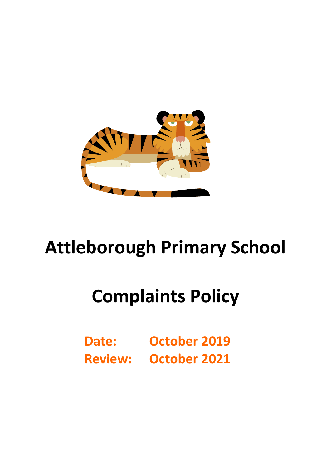

# **Attleborough Primary School**

# **Complaints Policy**

**Date: October 2019 Review: October 2021**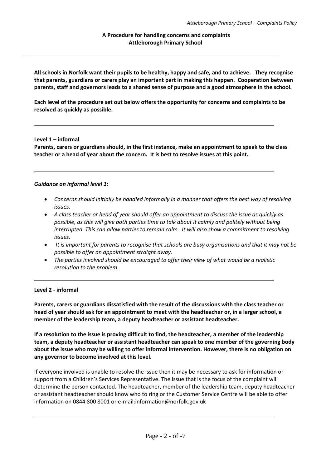### **A Procedure for handling concerns and complaints Attleborough Primary School**

**All schools in Norfolk want their pupils to be healthy, happy and safe, and to achieve. They recognise that parents, guardians or carers play an important part in making this happen. Cooperation between parents, staff and governors leads to a shared sense of purpose and a good atmosphere in the school.** 

**Each level of the procedure set out below offers the opportunity for concerns and complaints to be resolved as quickly as possible.**

#### **Level 1 – informal**

**Parents, carers or guardians should, in the first instance, make an appointment to speak to the class teacher or a head of year about the concern. It is best to resolve issues at this point.**

#### *Guidance on informal level 1:*

- *Concerns should initially be handled informally in a manner that offers the best way of resolving issues.*
- *A class teacher or head of year should offer an appointment to discuss the issue as quickly as possible, as this will give both parties time to talk about it calmly and politely without being interrupted. This can allow parties to remain calm. It will also show a commitment to resolving issues.*
- *It is important for parents to recognise that schools are busy organisations and that it may not be possible to offer an appointment straight away.*
- *The parties involved should be encouraged to offer their view of what would be a realistic resolution to the problem.*

#### **Level 2 - informal**

**Parents, carers or guardians dissatisfied with the result of the discussions with the class teacher or head of year should ask for an appointment to meet with the headteacher or, in a larger school, a member of the leadership team, a deputy headteacher or assistant headteacher.**

**If a resolution to the issue is proving difficult to find, the headteacher, a member of the leadership team, a deputy headteacher or assistant headteacher can speak to one member of the governing body about the issue who may be willing to offer informal intervention. However, there is no obligation on any governor to become involved at this level.**

If everyone involved is unable to resolve the issue then it may be necessary to ask for information or support from a Children's Services Representative. The issue that is the focus of the complaint will determine the person contacted. The headteacher, member of the leadership team, deputy headteacher or assistant headteacher should know who to ring or the Customer Service Centre will be able to offer information on 0844 800 8001 or e-mail:information@norfolk.gov.uk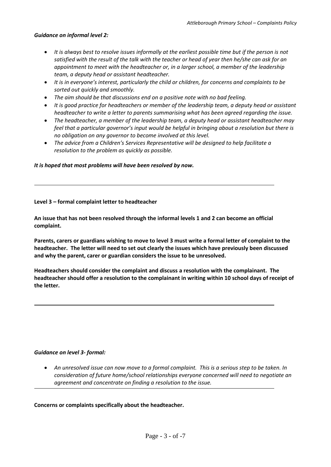### *Guidance on informal level 2:*

- *It is always best to resolve issues informally at the earliest possible time but if the person is not satisfied with the result of the talk with the teacher or head of year then he/she can ask for an appointment to meet with the headteacher or, in a larger school, a member of the leadership team, a deputy head or assistant headteacher.*
- *It is in everyone's interest, particularly the child or children, for concerns and complaints to be sorted out quickly and smoothly.*
- *The aim should be that discussions end on a positive note with no bad feeling.*
- *It is good practice for headteachers or member of the leadership team, a deputy head or assistant headteacher to write a letter to parents summarising what has been agreed regarding the issue.*
- *The headteacher, a member of the leadership team, a deputy head or assistant headteacher may feel that a particular governor's input would be helpful in bringing about a resolution but there is no obligation on any governor to become involved at this level.*
- *The advice from a Children's Services Representative will be designed to help facilitate a resolution to the problem as quickly as possible.*

*It is hoped that most problems will have been resolved by now.* 

#### **Level 3 – formal complaint letter to headteacher**

**An issue that has not been resolved through the informal levels 1 and 2 can become an official complaint.**

**Parents, carers or guardians wishing to move to level 3 must write a formal letter of complaint to the headteacher. The letter will need to set out clearly the issues which have previously been discussed and why the parent, carer or guardian considers the issue to be unresolved.** 

**Headteachers should consider the complaint and discuss a resolution with the complainant. The headteacher should offer a resolution to the complainant in writing within 10 school days of receipt of the letter.**

#### *Guidance on level 3- formal:*

 *An unresolved issue can now move to a formal complaint. This is a serious step to be taken. In consideration of future home/school relationships everyone concerned will need to negotiate an agreement and concentrate on finding a resolution to the issue.* 

**Concerns or complaints specifically about the headteacher.**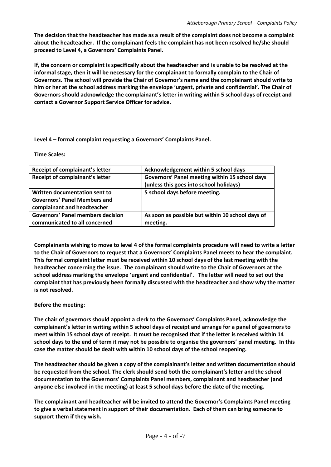**The decision that the headteacher has made as a result of the complaint does not become a complaint about the headteacher. If the complainant feels the complaint has not been resolved he/she should proceed to Level 4, a Governors' Complaints Panel.** 

**If, the concern or complaint is specifically about the headteacher and is unable to be resolved at the informal stage, then it will be necessary for the complainant to formally complain to the Chair of Governors. The school will provide the Chair of Governor's name and the complainant should write to him or her at the school address marking the envelope 'urgent, private and confidential'. The Chair of Governors should acknowledge the complainant's letter in writing within 5 school days of receipt and contact a Governor Support Service Officer for advice.** 

# **Level 4 – formal complaint requesting a Governors' Complaints Panel.**

**Time Scales:**

| Receipt of complainant's letter          | Acknowledgement within 5 school days             |  |
|------------------------------------------|--------------------------------------------------|--|
| Receipt of complainant's letter          | Governors' Panel meeting within 15 school days   |  |
|                                          | (unless this goes into school holidays)          |  |
| Written documentation sent to            | 5 school days before meeting.                    |  |
| <b>Governors' Panel Members and</b>      |                                                  |  |
| complainant and headteacher              |                                                  |  |
| <b>Governors' Panel members decision</b> | As soon as possible but within 10 school days of |  |
| communicated to all concerned            | meeting.                                         |  |

**Complainants wishing to move to level 4 of the formal complaints procedure will need to write a letter to the Chair of Governors to request that a Governors' Complaints Panel meets to hear the complaint. This formal complaint letter must be received within 10 school days of the last meeting with the headteacher concerning the issue. The complainant should write to the Chair of Governors at the school address marking the envelope 'urgent and confidential'. The letter will need to set out the complaint that has previously been formally discussed with the headteacher and show why the matter is not resolved.**

## **Before the meeting:**

**The chair of governors should appoint a clerk to the Governors' Complaints Panel, acknowledge the complainant's letter in writing within 5 school days of receipt and arrange for a panel of governors to meet within 15 school days of receipt. It must be recognised that if the letter is received within 14 school days to the end of term it may not be possible to organise the governors' panel meeting. In this case the matter should be dealt with within 10 school days of the school reopening.**

**The headteacher should be given a copy of the complainant's letter and written documentation should be requested from the school. The clerk should send both the complainant's letter and the school documentation to the Governors' Complaints Panel members, complainant and headteacher (and anyone else involved in the meeting) at least 5 school days before the date of the meeting.** 

**The complainant and headteacher will be invited to attend the Governor's Complaints Panel meeting to give a verbal statement in support of their documentation. Each of them can bring someone to support them if they wish.**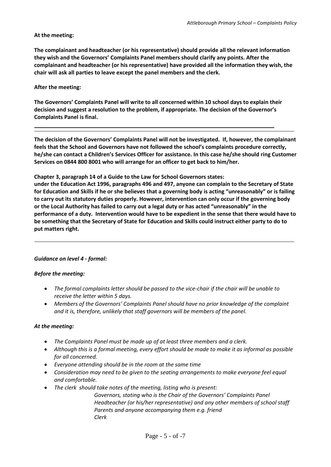## **At the meeting:**

**The complainant and headteacher (or his representative) should provide all the relevant information they wish and the Governors' Complaints Panel members should clarify any points. After the complainant and headteacher (or his representative) have provided all the information they wish, the chair will ask all parties to leave except the panel members and the clerk.**

## **After the meeting:**

**The Governors' Complaints Panel will write to all concerned within 10 school days to explain their decision and suggest a resolution to the problem, if appropriate. The decision of the Governor's Complaints Panel is final.** 

**The decision of the Governors' Complaints Panel will not be investigated. If, however, the complainant feels that the School and Governors have not followed the school's complaints procedure correctly, he/she can contact a Children's Services Officer for assistance. In this case he/she should ring Customer Services on 0844 800 8001 who will arrange for an officer to get back to him/her.** 

**Chapter 3, paragraph 14 of a Guide to the Law for School Governors states:**

**under the Education Act 1996, paragraphs 496 and 497, anyone can complain to the Secretary of State for Education and Skills if he or she believes that a governing body is acting "unreasonably" or is failing to carry out its statutory duties properly. However, intervention can only occur if the governing body or the Local Authority has failed to carry out a legal duty or has acted "unreasonably" in the performance of a duty. Intervention would have to be expedient in the sense that there would have to be something that the Secretary of State for Education and Skills could instruct either party to do to put matters right.** 

## *Guidance on level 4 - formal:*

## *Before the meeting:*

- *The formal complaints letter should be passed to the vice-chair if the chair will be unable to receive the letter within 5 days.*
- *Members of the Governors' Complaints Panel should have no prior knowledge of the complaint and it is, therefore, unlikely that staff governors will be members of the panel.*

## *At the meeting:*

- *The Complaints Panel must be made up of at least three members and a clerk.*
- *Although this is a formal meeting, every effort should be made to make it as informal as possible for all concerned.*
- *Everyone attending should be in the room at the same time*
- *Consideration may need to be given to the seating arrangements to make everyone feel equal and comfortable.*
- *The clerk should take notes of the meeting, listing who is present:*

*Governors, stating who is the Chair of the Governors' Complaints Panel Headteacher (or his/her representative) and any other members of school staff Parents and anyone accompanying them e.g. friend Clerk*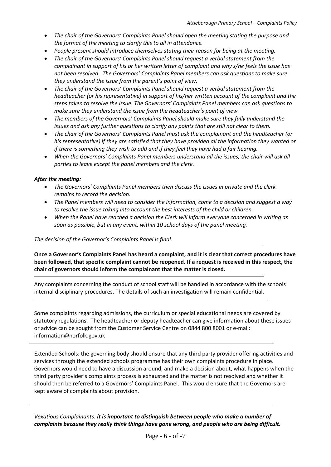- *The chair of the Governors' Complaints Panel should open the meeting stating the purpose and the format of the meeting to clarify this to all in attendance.*
- *People present should introduce themselves stating their reason for being at the meeting.*
- *The chair of the Governors' Complaints Panel should request a verbal statement from the complainant in support of his or her written letter of complaint and why s/he feels the issue has not been resolved. The Governors' Complaints Panel members can ask questions to make sure they understand the issue from the parent's point of view.*
- *The chair of the Governors' Complaints Panel should request a verbal statement from the headteacher (or his representative) in support of his/her written account of the complaint and the steps taken to resolve the issue. The Governors' Complaints Panel members can ask questions to make sure they understand the issue from the headteacher's point of view.*
- *The members of the Governors' Complaints Panel should make sure they fully understand the issues and ask any further questions to clarify any points that are still not clear to them.*
- *The chair of the Governors' Complaints Panel must ask the complainant and the headteacher (or his representative) if they are satisfied that they have provided all the information they wanted or if there is something they wish to add and if they feel they have had a fair hearing.*
- *When the Governors' Complaints Panel members understand all the issues, the chair will ask all parties to leave except the panel members and the clerk.*

### *After the meeting:*

- *The Governors' Complaints Panel members then discuss the issues in private and the clerk remains to record the decision.*
- *The Panel members will need to consider the information, come to a decision and suggest a way to resolve the issue taking into account the best interests of the child or children.*
- *When the Panel have reached a decision the Clerk will inform everyone concerned in writing as soon as possible, but in any event, within 10 school days of the panel meeting.*

#### *The decision of the Governor's Complaints Panel is final.*

**Once a Governor's Complaints Panel has heard a complaint, and it is clear that correct procedures have been followed, that specific complaint cannot be reopened. If a request is received in this respect, the chair of governors should inform the complainant that the matter is closed.** 

Any complaints concerning the conduct of school staff will be handled in accordance with the schools internal disciplinary procedures. The details of such an investigation will remain confidential.

Some complaints regarding admissions, the curriculum or special educational needs are covered by statutory regulations. The headteacher or deputy headteacher can give information about these issues or advice can be sought from the Customer Service Centre on 0844 800 8001 or e-mail: information@norfolk.gov.uk

Extended Schools: the governing body should ensure that any third party provider offering activities and services through the extended schools programme has their own complaints procedure in place. Governors would need to have a discussion around, and make a decision about, what happens when the third party provider's complaints process is exhausted and the matter is not resolved and whether it should then be referred to a Governors' Complaints Panel. This would ensure that the Governors are kept aware of complaints about provision.

*Vexatious Complainants: it is important to distinguish between people who make a number of complaints because they really think things have gone wrong, and people who are being difficult.*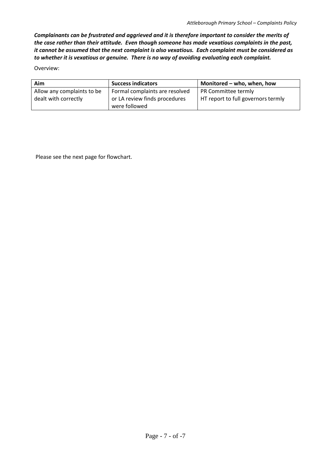*Complainants can be frustrated and aggrieved and it is therefore important to consider the merits of the case rather than their attitude. Even though someone has made vexatious complaints in the past, it cannot be assumed that the next complaint is also vexatious. Each complaint must be considered as to whether it is vexatious or genuine. There is no way of avoiding evaluating each complaint.*

Overview:

| Aim                        | <b>Success indicators</b>      | Monitored - who, when, how         |
|----------------------------|--------------------------------|------------------------------------|
| Allow any complaints to be | Formal complaints are resolved | PR Committee termly                |
| dealt with correctly       | or LA review finds procedures  | HT report to full governors termly |
|                            | were followed                  |                                    |

Please see the next page for flowchart.